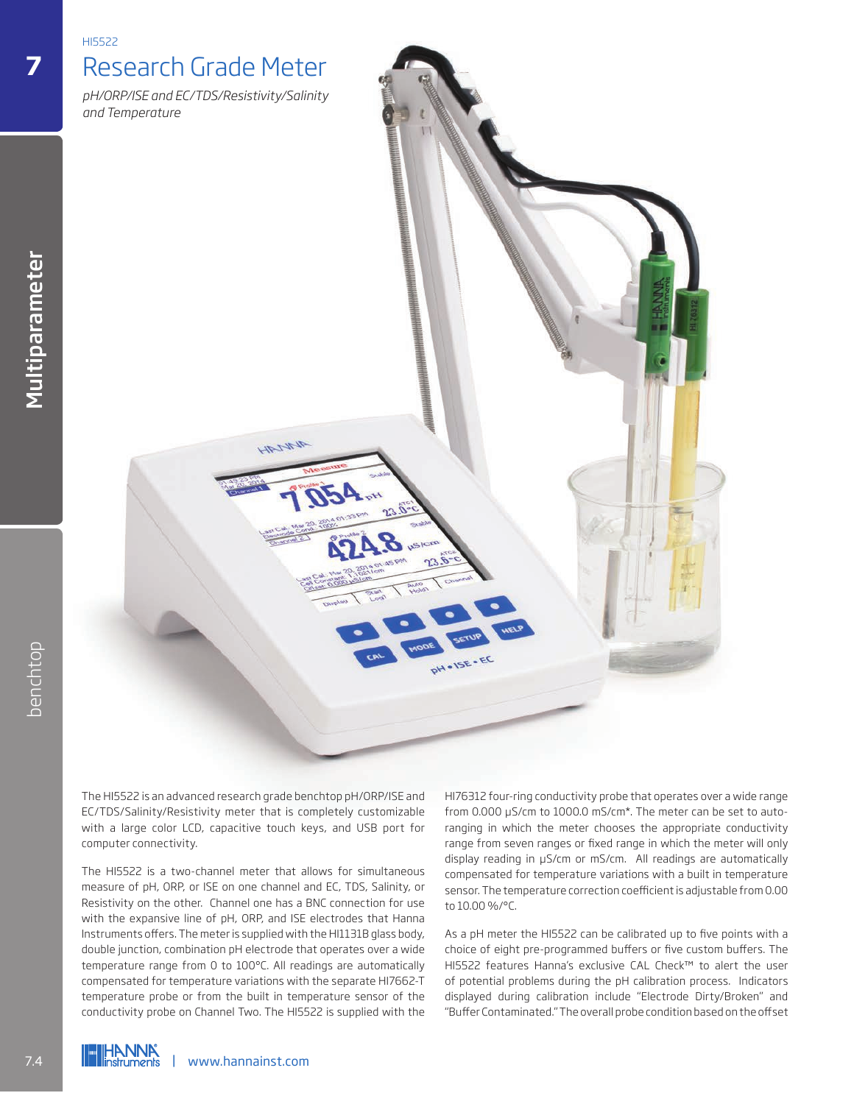

The HI5522 is an advanced research grade benchtop pH/ORP/ISE and EC/TDS/Salinity/Resistivity meter that is completely customizable with a large color LCD, capacitive touch keys, and USB port for computer connectivity.

The HI5522 is a two-channel meter that allows for simultaneous measure of pH, ORP, or ISE on one channel and EC, TDS, Salinity, or Resistivity on the other. Channel one has a BNC connection for use with the expansive line of pH, ORP, and ISE electrodes that Hanna Instruments offers. The meter is supplied with the HI1131B glass body, double junction, combination pH electrode that operates over a wide temperature range from 0 to 100°C. All readings are automatically compensated for temperature variations with the separate HI7662-T temperature probe or from the built in temperature sensor of the conductivity probe on Channel Two. The HI5522 is supplied with the The HI5522 is an advanced research grade benchtops<br>
The HI5522 is an advanced research grade benchtops<br>
EC/TDS/Salinity/Resistivity meter that is computer connectivity.<br>
The HI5522 is a two-channel meter that all measure o

HI76312 four-ring conductivity probe that operates over a wide range from 0.000 μS/cm to 1000.0 mS/cm\*. The meter can be set to autoranging in which the meter chooses the appropriate conductivity range from seven ranges or fixed range in which the meter will only display reading in μS/cm or mS/cm. All readings are automatically compensated for temperature variations with a built in temperature sensor. The temperature correction coefficient is adjustable from 0.00 to 10.00 %/°C.

As a pH meter the HI5522 can be calibrated up to five points with a choice of eight pre-programmed buffers or five custom buffers. The HI5522 features Hanna's exclusive CAL Check™ to alert the user of potential problems during the pH calibration process. Indicators displayed during calibration include "Electrode Dirty/Broken" and "Buffer Contaminated." The overall probe condition based on the offset

**7**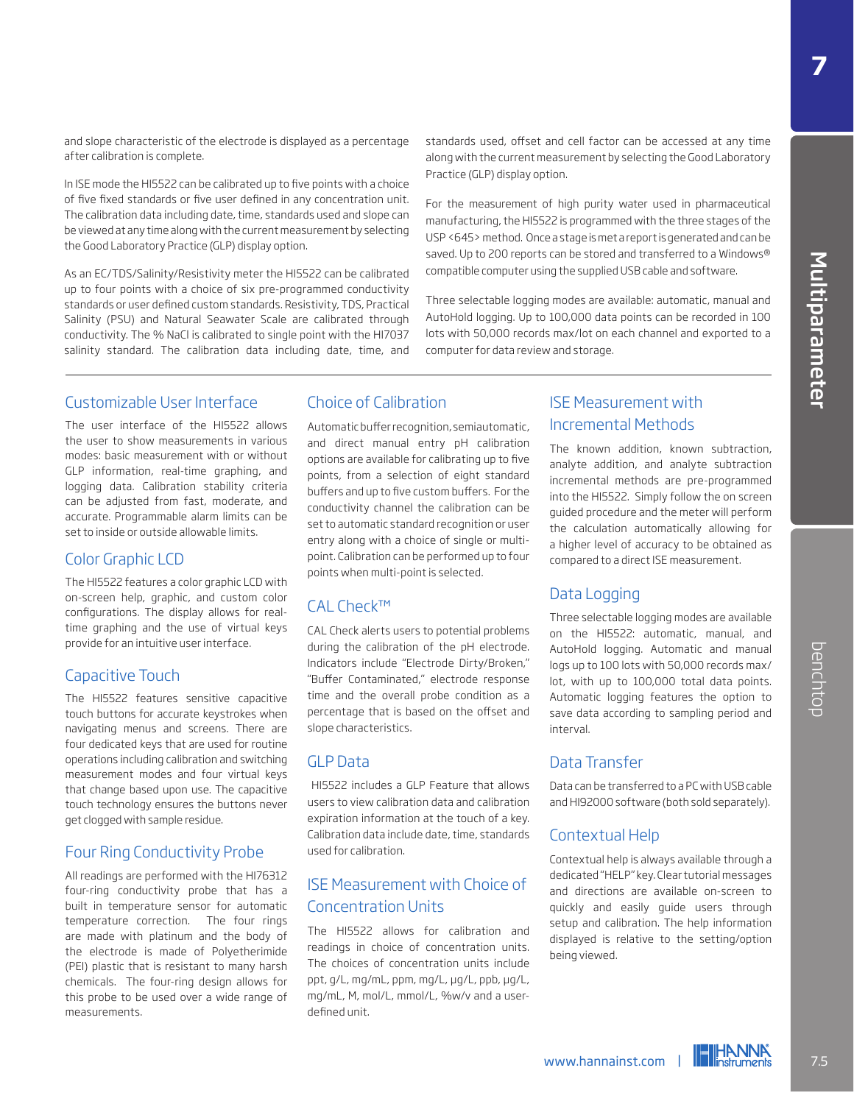and slope characteristic of the electrode is displayed as a percentage after calibration is complete.

In ISE mode the HI5522 can be calibrated up to five points with a choice of five fixed standards or five user defined in any concentration unit. The calibration data including date, time, standards used and slope can be viewed at any time along with the current measurement by selecting the Good Laboratory Practice (GLP) display option.

As an EC/TDS/Salinity/Resistivity meter the HI5522 can be calibrated up to four points with a choice of six pre-programmed conductivity standards or user defined custom standards. Resistivity, TDS, Practical Salinity (PSU) and Natural Seawater Scale are calibrated through conductivity. The % NaCl is calibrated to single point with the HI7037 salinity standard. The calibration data including date, time, and

standards used, offset and cell factor can be accessed at any time along with the current measurement by selecting the Good Laboratory Practice (GLP) display option.

For the measurement of high purity water used in pharmaceutical manufacturing, the HI5522 is programmed with the three stages of the USP <645> method. Once a stage is met a report is generated and can be saved. Up to 200 reports can be stored and transferred to a Windows® compatible computer using the supplied USB cable and software.

Three selectable logging modes are available: automatic, manual and AutoHold logging. Up to 100,000 data points can be recorded in 100 lots with 50,000 records max/lot on each channel and exported to a computer for data review and storage.

### Customizable User Interface

The user interface of the HI5522 allows the user to show measurements in various modes: basic measurement with or without GLP information, real-time graphing, and logging data. Calibration stability criteria can be adjusted from fast, moderate, and accurate. Programmable alarm limits can be set to inside or outside allowable limits.

### Color Graphic LCD

The HI5522 features a color graphic LCD with on-screen help, graphic, and custom color configurations. The display allows for realtime graphing and the use of virtual keys provide for an intuitive user interface.

### Capacitive Touch

The HI5522 features sensitive capacitive touch buttons for accurate keystrokes when navigating menus and screens. There are four dedicated keys that are used for routine operations including calibration and switching measurement modes and four virtual keys that change based upon use. The capacitive touch technology ensures the buttons never get clogged with sample residue.

### Four Ring Conductivity Probe

All readings are performed with the HI76312 four-ring conductivity probe that has a built in temperature sensor for automatic temperature correction. The four rings are made with platinum and the body of the electrode is made of Polyetherimide (PEI) plastic that is resistant to many harsh chemicals. The four-ring design allows for this probe to be used over a wide range of measurements.

### Choice of Calibration

Automatic buffer recognition, semiautomatic, and direct manual entry pH calibration options are available for calibrating up to five points, from a selection of eight standard buffers and up to five custom buffers. For the conductivity channel the calibration can be set to automatic standard recognition or user entry along with a choice of single or multipoint. Calibration can be performed up to four points when multi-point is selected.

### CAL Check™

CAL Check alerts users to potential problems during the calibration of the pH electrode. Indicators include "Electrode Dirty/Broken," "Buffer Contaminated," electrode response time and the overall probe condition as a percentage that is based on the offset and slope characteristics.

### GLP Data

 HI5522 includes a GLP Feature that allows users to view calibration data and calibration expiration information at the touch of a key. Calibration data include date, time, standards used for calibration.

## ISE Measurement with Choice of Concentration Units

The HI5522 allows for calibration and readings in choice of concentration units. The choices of concentration units include ppt, g/L, mg/mL, ppm, mg/L, μg/L, ppb, μg/L, mg/mL, M, mol/L, mmol/L, %w/v and a userdefined unit.

## ISE Measurement with Incremental Methods

The known addition, known subtraction, analyte addition, and analyte subtraction incremental methods are pre-programmed into the HI5522. Simply follow the on screen guided procedure and the meter will perform the calculation automatically allowing for a higher level of accuracy to be obtained as compared to a direct ISE measurement.

### Data Logging

Three selectable logging modes are available on the HI5522: automatic, manual, and AutoHold logging. Automatic and manual logs up to 100 lots with 50,000 records max/ lot, with up to 100,000 total data points. Automatic logging features the option to save data according to sampling period and interval.

### Data Transfer

Data can be transferred to a PC with USB cable and HI92000 software (both sold separately).

### Contextual Help

Contextual help is always available through a dedicated "HELP" key. Clear tutorial messages and directions are available on-screen to quickly and easily guide users through setup and calibration. The help information displayed is relative to the setting/option being viewed. AutoHold logging. Automatic and manual<br>logs up to 100 lots with 50,000 records max/<br>bot, with up to 100,000 total data points.<br>Automatic logging features the option to<br>save data according to sampling period and<br>interval.<br>D

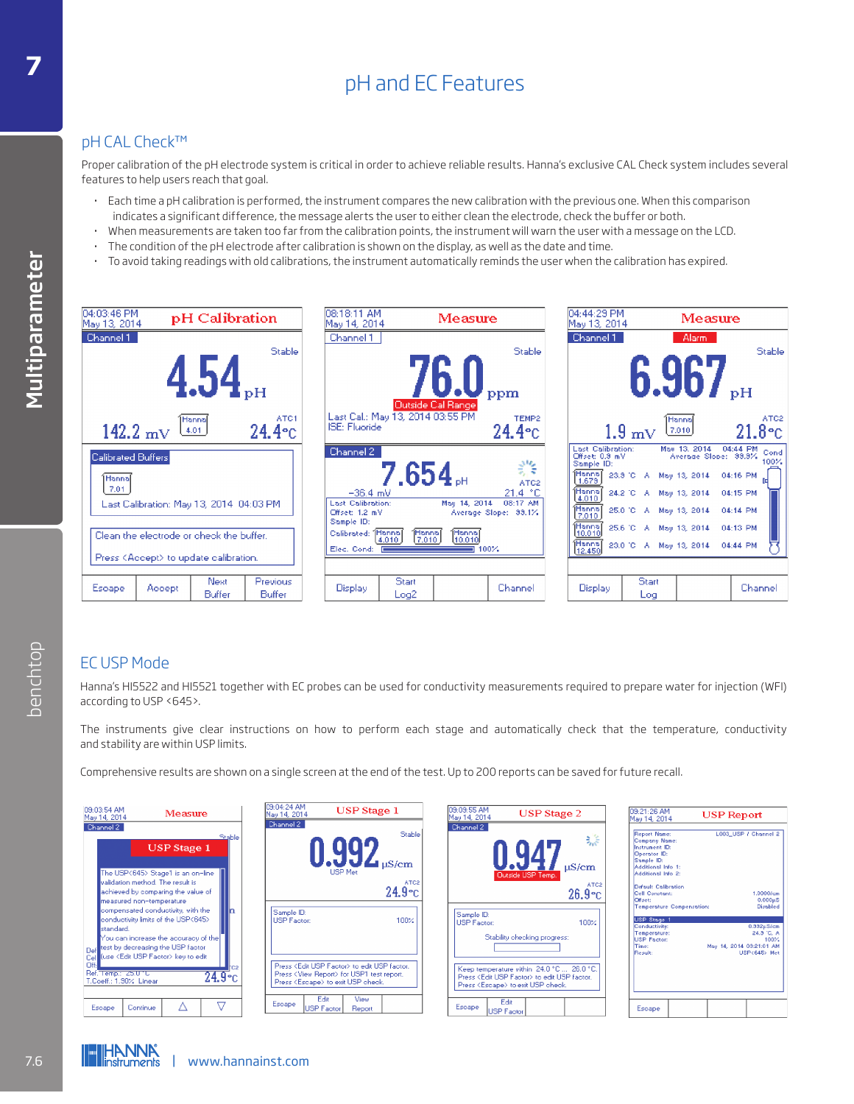# pH and EC Features **<sup>7</sup>**

## pH CAL Check™

Proper calibration of the pH electrode system is critical in order to achieve reliable results. Hanna's exclusive CAL Check system includes several features to help users reach that goal.

- · Each time a pH calibration is performed, the instrument compares the new calibration with the previous one. When this comparison indicates a significant difference, the message alerts the user to either clean the electrode, check the buffer or both.
- · When measurements are taken too far from the calibration points, the instrument will warn the user with a message on the LCD.
- The condition of the pH electrode after calibration is shown on the display, as well as the date and time.
- · To avoid taking readings with old calibrations, the instrument automatically reminds the user when the calibration has expired.



## EC USP Mode

| according to USP <645>.                                                                                                                                                                                                                                                                                                                                                                                                                                                      | Hanna's HI5522 and HI5521 together with EC probes can be used for conductivity measurements required to prepare water for injection (WFI)                                                                                     |                                                                                                                                                                            |                                                                                                                                                                                                                                                                                                                                                                                                                                                                |
|------------------------------------------------------------------------------------------------------------------------------------------------------------------------------------------------------------------------------------------------------------------------------------------------------------------------------------------------------------------------------------------------------------------------------------------------------------------------------|-------------------------------------------------------------------------------------------------------------------------------------------------------------------------------------------------------------------------------|----------------------------------------------------------------------------------------------------------------------------------------------------------------------------|----------------------------------------------------------------------------------------------------------------------------------------------------------------------------------------------------------------------------------------------------------------------------------------------------------------------------------------------------------------------------------------------------------------------------------------------------------------|
| and stability are within USP limits.                                                                                                                                                                                                                                                                                                                                                                                                                                         | The instruments give clear instructions on how to perform each stage and automatically check that the temperature, conductivity                                                                                               |                                                                                                                                                                            |                                                                                                                                                                                                                                                                                                                                                                                                                                                                |
|                                                                                                                                                                                                                                                                                                                                                                                                                                                                              | Comprehensive results are shown on a single screen at the end of the test. Up to 200 reports can be saved for future recall.                                                                                                  |                                                                                                                                                                            |                                                                                                                                                                                                                                                                                                                                                                                                                                                                |
| 09:03:54 AM<br>Measure<br>May 14, 2014                                                                                                                                                                                                                                                                                                                                                                                                                                       | 09:04:24 AM<br>May 14, 2014<br><b>USP</b> Stage 1<br>Channel 2                                                                                                                                                                | 09:09:55 AM<br><b>USP</b> Stage 2<br>May 14, 2014                                                                                                                          | 09:21:26 AM<br><b>USP Report</b><br>Mav 14, 2014                                                                                                                                                                                                                                                                                                                                                                                                               |
| Channel 2<br>Stable<br><b>USP</b> Stage 1<br>The USP<645> Stage1 is an on-line<br>validation method. The result is<br>achieved by comparing the value of<br>measured non-temperature<br>compensated conductivity, with the<br>l'n.<br>conductivity limits of the USP<645><br>standard.<br>You can increase the accuracy of the<br>test by decreasing the USP factor<br>Def<br>(use <edit factor="" usp=""> key to edit<br/>Cel<br/><b>Off-</b><br/>Ref. Temp.: 25.010</edit> | <b>Stable</b><br>$0.99Z_{\mu S/cm}$<br>ATC <sub>2</sub><br>$24.9$ °C<br>Sample ID:<br>USP Factor:<br>100%<br>Press <edit factor="" usp=""> to edit USP factor.<br/>Press <view report=""> for USP1 test report.</view></edit> | Channel 2<br>骔<br>uS/cm<br>ATC <sub>2</sub><br>$26.9$ °C<br>Sample ID:<br>USP Factor:<br>100%<br>Stability checking progress:<br>Keep temperature within 24.0 °C  26.0 °C. | Report Name:<br>L003 USP / Channel 2<br><b>Company Name</b><br>Instrument ID:<br>Operator ID:<br>Sample ID:<br>Additional Info 1:<br>Additional Info 2:<br>Default Calibration<br>1.00001cm<br>Cell Constant:<br>Offset:<br>$0.000\mu S$<br>Disabled<br><b>Temperature Compensation:</b><br>USP Stage<br>Conductivity:<br>$0.332\mu S/cm$<br>24.3 °C, A<br>Temperature:<br>USP Factor:<br>100%<br>Time:<br>May 14, 2014 03:21:01 AM<br>Repult:<br>USP<645> Met |
| $24.9^{\circ}$ c<br>T.Coeff.: 1.90% Linear<br>▽<br>Λ<br>Continue<br>Escape                                                                                                                                                                                                                                                                                                                                                                                                   | Press <escape> to exit USP check.<br/>Edit<br/>View<br/>Escape<br/><b>USP Factor</b><br/>Report</escape>                                                                                                                      | Press <edit factor="" usp=""> to edit USP factor.<br/>Press <escape> to exit USP check.<br/>Edit<br/>Escape<br/><b>USP Factor</b></escape></edit>                          | Escape                                                                                                                                                                                                                                                                                                                                                                                                                                                         |

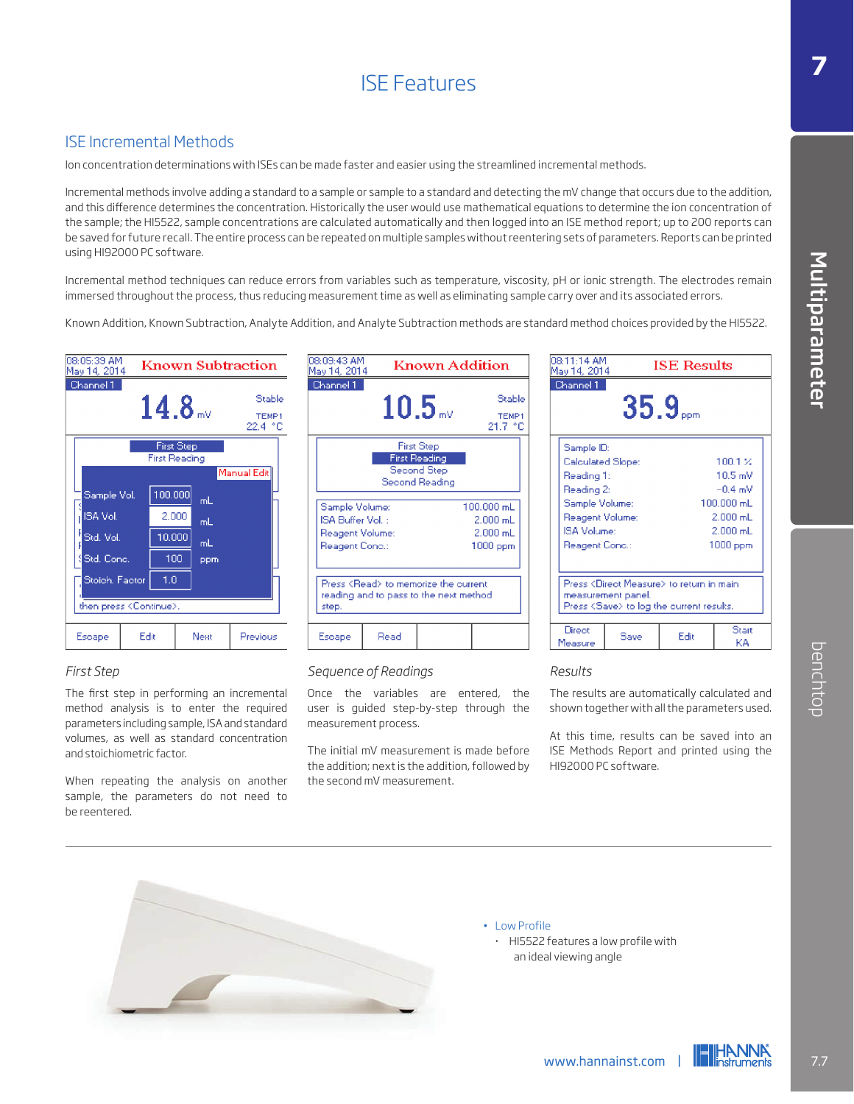# ISE Features

## ISE Incremental Methods

Ion concentration determinations with ISEs can be made faster and easier using the streamlined incremental methods.

Incremental methods involve adding a standard to a sample or sample to a standard and detecting the mV change that occurs due to the addition, and this difference determines the concentration. Historically the user would use mathematical equations to determine the ion concentration of the sample; the HI5522, sample concentrations are calculated automatically and then logged into an ISE method report; up to 200 reports can be saved for future recall. The entire process can be repeated on multiple samples without reentering sets of parameters. Reports can be printed using HI92000 PC software.

Incremental method techniques can reduce errors from variables such as temperature, viscosity, pH or ionic strength. The electrodes remain immersed throughout the process, thus reducing measurement time as well as eliminating sample carry over and its associated errors.

Known Addition, Known Subtraction, Analyte Addition, and Analyte Subtraction methods are standard method choices provided by the HI5522.



#### *First Step*

The first step in performing an incremental method analysis is to enter the required parameters including sample, ISA and standard volumes, as well as standard concentration and stoichiometric factor.

When repeating the analysis on another sample, the parameters do not need to be reentered.

| 08:09:43 AM<br>May 14, 2014                                                     |                                                                                        | Known Addition                                                             |                                                        |
|---------------------------------------------------------------------------------|----------------------------------------------------------------------------------------|----------------------------------------------------------------------------|--------------------------------------------------------|
| Channel 1                                                                       |                                                                                        | $10.5$ and                                                                 | Stable<br><b>TFMP1</b><br>21.7 °C                      |
|                                                                                 |                                                                                        | <b>First Step</b><br><b>First Reading</b><br>Second Step<br>Second Reading |                                                        |
| Sample Volume:<br>ISA Buffer Vol. :<br><b>Reagent Volume:</b><br>Reagent Conc.: |                                                                                        |                                                                            | $100,000$ mL<br>$2.000$ mL<br>$2.000$ mL<br>$1000$ ppm |
| step.                                                                           | Press <read> to memorize the current<br/>reading and to pass to the next method</read> |                                                                            |                                                        |
| Escape                                                                          | Read                                                                                   |                                                                            |                                                        |

#### *Sequence of Readings*

Once the variables are entered, the user is guided step-by-step through the measurement process.

The initial mV measurement is made before the addition; next is the addition, followed by the second mV measurement.

| 08:11:14 AM<br>May 14, 2014                                                                                                                     |                    | <b>ISE Results</b>                                                                                       |                                                                                                  |
|-------------------------------------------------------------------------------------------------------------------------------------------------|--------------------|----------------------------------------------------------------------------------------------------------|--------------------------------------------------------------------------------------------------|
| Channel 1                                                                                                                                       |                    | $35.9$ <sub>ppm</sub>                                                                                    |                                                                                                  |
| Sample ID:<br><b>Calculated Slope:</b><br>Reading 1:<br>Reading 2:<br>Sample Volume:<br><b>Reagent Volume:</b><br>ISA Volumer<br>Reagent Cond.: |                    |                                                                                                          | 100.1%<br>10.5 mV<br>$-0.4$ mV<br>$100.000$ mL<br>$2.000$ mL<br>$2.000 \text{ mL}$<br>$1000$ ppm |
|                                                                                                                                                 | measurement panel. | Press <direct measure=""> to return in main<br/>Press <save> to log the current results.</save></direct> |                                                                                                  |
| Direct                                                                                                                                          | Saue               | Fair                                                                                                     | Start                                                                                            |

#### *Results*

The results are automatically calculated and shown together with all the parameters used.

At this time, results can be saved into an ISE Methods Report and printed using the HI92000 PC software. Manuscript Christian Control Christmas Control Christmas The results are automatically calculated and<br>shown together with all the parameters used.<br>At this time, results can be saved into an<br>ISE Methods Report and printed u



• Low Profile · HI5522 features a low profile with an ideal viewing angle



Multiparameter

Multiparamete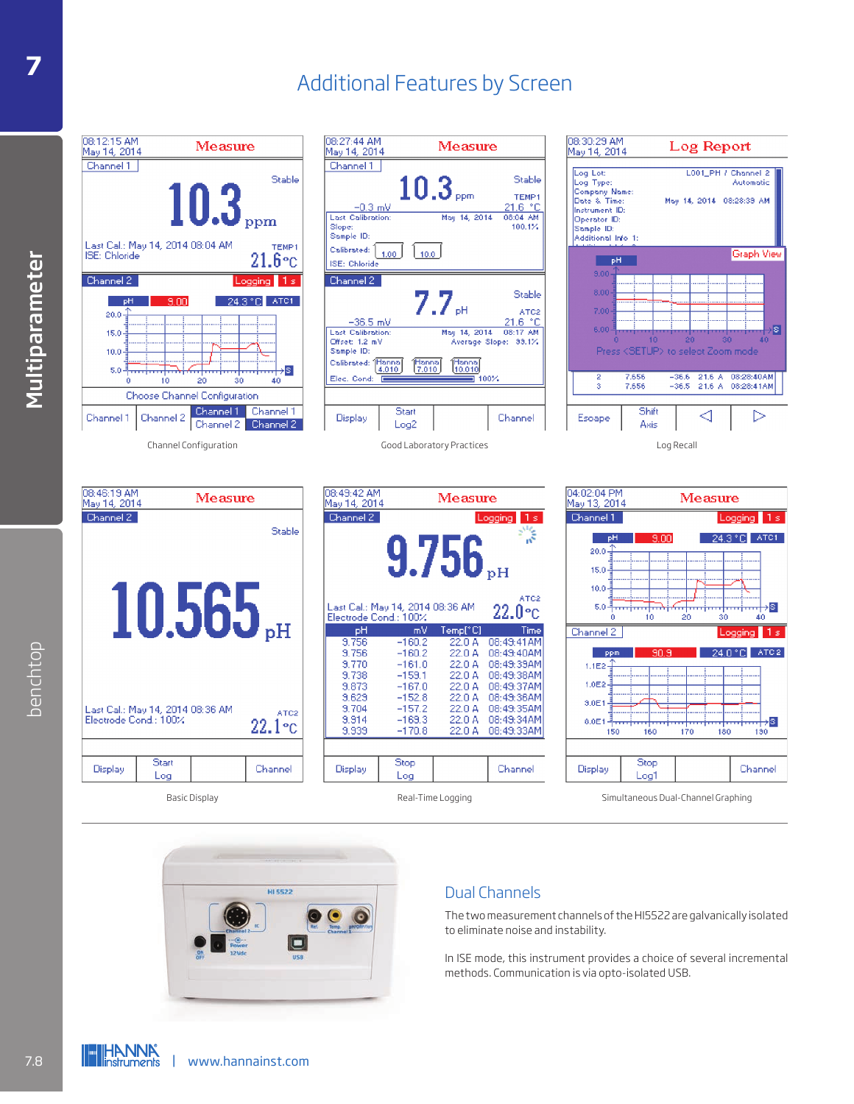## Additional Features by Screen **<sup>7</sup>**













Basic Display **Simultaneous Dual-Channel Graphing** Real-Time Logging Simultaneous Dual-Channel Graphing



## Dual Channels

The two measurement channels of the HI5522 are galvanically isolated to eliminate noise and instability.

In ISE mode, this instrument provides a choice of several incremental methods. Communication is via opto-isolated USB.